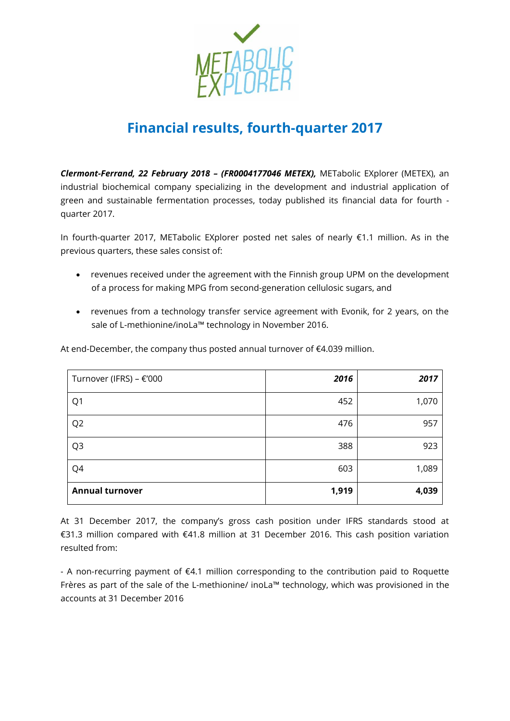

# **Financial results, fourth-quarter 2017**

*Clermont-Ferrand, 22 February 2018 – (FR0004177046 METEX),* METabolic EXplorer (METEX), an industrial biochemical company specializing in the development and industrial application of green and sustainable fermentation processes, today published its financial data for fourth quarter 2017.

In fourth-quarter 2017, METabolic EXplorer posted net sales of nearly €1.1 million. As in the previous quarters, these sales consist of:

- revenues received under the agreement with the Finnish group UPM on the development of a process for making MPG from second-generation cellulosic sugars, and
- revenues from a technology transfer service agreement with Evonik, for 2 years, on the sale of L-methionine/inoLa™ technology in November 2016.

| Turnover (IFRS) - €'000 | 2016  | 2017  |
|-------------------------|-------|-------|
| Q1                      | 452   | 1,070 |
| Q <sub>2</sub>          | 476   | 957   |
| Q <sub>3</sub>          | 388   | 923   |
| Q4                      | 603   | 1,089 |
| <b>Annual turnover</b>  | 1,919 | 4,039 |

At end-December, the company thus posted annual turnover of  $€4.039$  million.

At 31 December 2017, the company's gross cash position under IFRS standards stood at €31.3 million compared with €41.8 million at 31 December 2016. This cash position variation resulted from:

- A non-recurring payment of €4.1 million corresponding to the contribution paid to Roquette Frères as part of the sale of the L-methionine/ inoLa™ technology, which was provisioned in the accounts at 31 December 2016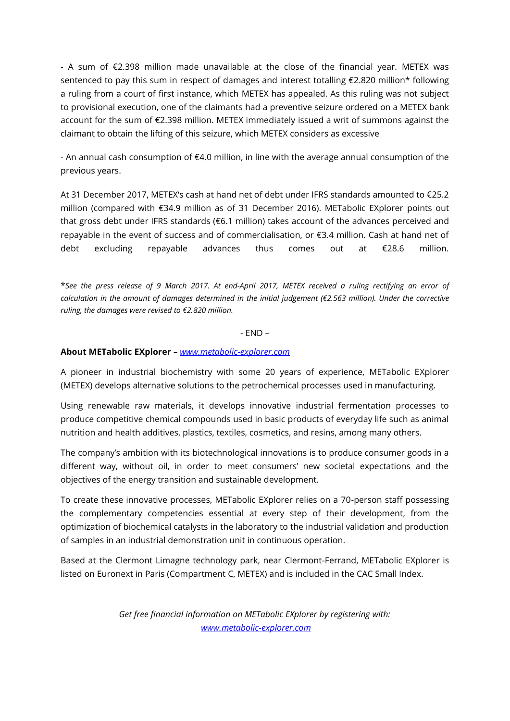- A sum of €2.398 million made unavailable at the close of the financial year. METEX was sentenced to pay this sum in respect of damages and interest totalling €2.820 million\* following a ruling from a court of first instance, which METEX has appealed. As this ruling was not subject to provisional execution, one of the claimants had a preventive seizure ordered on a METEX bank account for the sum of €2.398 million. METEX immediately issued a writ of summons against the claimant to obtain the lifting of this seizure, which METEX considers as excessive

- An annual cash consumption of €4.0 million, in line with the average annual consumption of the previous years.

At 31 December 2017, METEX's cash at hand net of debt under IFRS standards amounted to €25.2 million (compared with €34.9 million as of 31 December 2016). METabolic EXplorer points out that gross debt under IFRS standards (€6.1 million) takes account of the advances perceived and repayable in the event of success and of commercialisation, or €3.4 million. Cash at hand net of debt excluding repayable advances thus comes out at €28.6 million.

\**See the press release of 9 March 2017. At end-April 2017, METEX received a ruling rectifying an error of calculation in the amount of damages determined in the initial judgement (€2.563 million). Under the corrective ruling, the damages were revised to €2.820 million.*

## - END –

## **About METabolic EXplorer –** *[www.metabolic-explorer.com](http://www.metabolic-explorer.com/)*

A pioneer in industrial biochemistry with some 20 years of experience, METabolic EXplorer (METEX) develops alternative solutions to the petrochemical processes used in manufacturing.

Using renewable raw materials, it develops innovative industrial fermentation processes to produce competitive chemical compounds used in basic products of everyday life such as animal nutrition and health additives, plastics, textiles, cosmetics, and resins, among many others.

The company's ambition with its biotechnological innovations is to produce consumer goods in a different way, without oil, in order to meet consumers' new societal expectations and the objectives of the energy transition and sustainable development.

To create these innovative processes, METabolic EXplorer relies on a 70-person staff possessing the complementary competencies essential at every step of their development, from the optimization of biochemical catalysts in the laboratory to the industrial validation and production of samples in an industrial demonstration unit in continuous operation.

Based at the Clermont Limagne technology park, near Clermont-Ferrand, METabolic EXplorer is listed on Euronext in Paris (Compartment C, METEX) and is included in the CAC Small Index.

> *Get free financial information on METabolic EXplorer by registering with: [www.metabolic-explorer.com](http://www.metabolic-explorer.com/)*